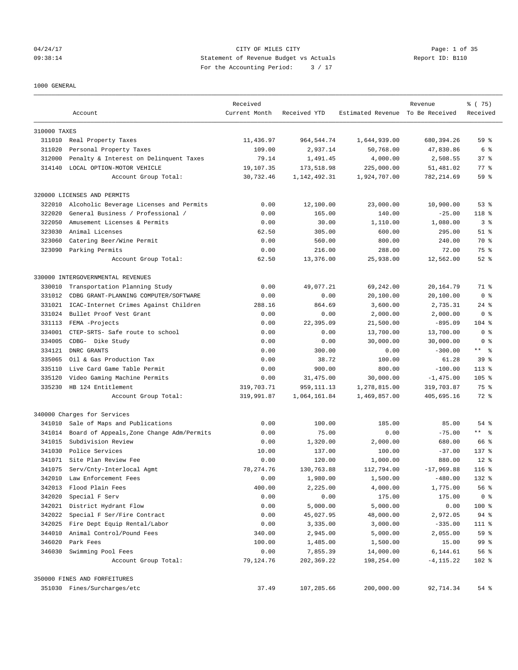# 04/24/17 CITY OF MILES CITY Page: 1 of 35 09:38:14 Statement of Revenue Budget vs Actuals Report ID: B110 For the Accounting Period: 3 / 17

#### 1000 GENERAL

|              | Account                                   | Received<br>Current Month | Received YTD | Estimated Revenue To Be Received | Revenue      | 8 (75)<br>Received |
|--------------|-------------------------------------------|---------------------------|--------------|----------------------------------|--------------|--------------------|
| 310000 TAXES |                                           |                           |              |                                  |              |                    |
|              | 311010 Real Property Taxes                | 11,436.97                 | 964, 544.74  | 1,644,939.00                     | 680,394.26   | 59 <sup>°</sup>    |
| 311020       | Personal Property Taxes                   | 109.00                    | 2,937.14     | 50,768.00                        | 47,830.86    | 6 %                |
| 312000       | Penalty & Interest on Delinquent Taxes    | 79.14                     | 1,491.45     | 4,000.00                         | 2,508.55     | 37%                |
| 314140       | LOCAL OPTION-MOTOR VEHICLE                | 19,107.35                 | 173,518.98   | 225,000.00                       | 51,481.02    | $77$ $%$           |
|              | Account Group Total:                      | 30,732.46                 | 1,142,492.31 | 1,924,707.00                     | 782,214.69   | 59 %               |
|              | 320000 LICENSES AND PERMITS               |                           |              |                                  |              |                    |
| 322010       | Alcoholic Beverage Licenses and Permits   | 0.00                      | 12,100.00    | 23,000.00                        | 10,900.00    | 53%                |
| 322020       | General Business / Professional /         | 0.00                      | 165.00       | 140.00                           | $-25.00$     | $118$ %            |
| 322050       | Amusement Licenses & Permits              | 0.00                      | 30.00        | 1,110.00                         | 1,080.00     | 3 <sup>8</sup>     |
| 323030       | Animal Licenses                           | 62.50                     | 305.00       | 600.00                           | 295.00       | $51$ $\frac{6}{3}$ |
| 323060       | Catering Beer/Wine Permit                 | 0.00                      | 560.00       | 800.00                           | 240.00       | 70 %               |
| 323090       | Parking Permits                           | 0.00                      | 216.00       | 288.00                           | 72.00        | 75 %               |
|              | Account Group Total:                      | 62.50                     | 13,376.00    | 25,938.00                        | 12,562.00    | $52$ $%$           |
|              | 330000 INTERGOVERNMENTAL REVENUES         |                           |              |                                  |              |                    |
| 330010       | Transportation Planning Study             | 0.00                      | 49,077.21    | 69,242.00                        | 20,164.79    | 71 %               |
| 331012       | CDBG GRANT-PLANNING COMPUTER/SOFTWARE     | 0.00                      | 0.00         | 20,100.00                        | 20,100.00    | 0 <sup>8</sup>     |
| 331021       | ICAC-Internet Crimes Against Children     | 288.16                    | 864.69       | 3,600.00                         | 2,735.31     | $24$ %             |
| 331024       | Bullet Proof Vest Grant                   | 0.00                      | 0.00         | 2,000.00                         | 2,000.00     | 0 <sup>8</sup>     |
| 331113       | FEMA -Projects                            | 0.00                      | 22,395.09    | 21,500.00                        | $-895.09$    | $104$ %            |
| 334001       | CTEP-SRTS- Safe route to school           | 0.00                      | 0.00         | 13,700.00                        | 13,700.00    | 0 <sup>8</sup>     |
| 334005       | CDBG- Dike Study                          | 0.00                      | 0.00         | 30,000.00                        | 30,000.00    | 0 <sup>8</sup>     |
| 334121       | DNRC GRANTS                               | 0.00                      | 300.00       | 0.00                             | $-300.00$    | ** 응               |
| 335065       | Oil & Gas Production Tax                  | 0.00                      | 38.72        | 100.00                           | 61.28        | 39 <sup>8</sup>    |
| 335110       | Live Card Game Table Permit               | 0.00                      | 900.00       | 800.00                           | $-100.00$    | $113$ %            |
| 335120       | Video Gaming Machine Permits              | 0.00                      | 31,475.00    | 30,000.00                        | $-1,475.00$  | $105$ %            |
| 335230       | HB 124 Entitlement                        | 319,703.71                | 959, 111.13  | 1,278,815.00                     | 319,703.87   | 75 %               |
|              | Account Group Total:                      | 319,991.87                | 1,064,161.84 | 1,469,857.00                     | 405,695.16   | 72 %               |
|              | 340000 Charges for Services               |                           |              |                                  |              |                    |
| 341010       | Sale of Maps and Publications             | 0.00                      | 100.00       | 185.00                           | 85.00        | 54 %               |
| 341014       | Board of Appeals, Zone Change Adm/Permits | 0.00                      | 75.00        | 0.00                             | $-75.00$     | $***$ $ -$         |
| 341015       | Subdivision Review                        | 0.00                      | 1,320.00     | 2,000.00                         | 680.00       | 66 %               |
| 341030       | Police Services                           | 10.00                     | 137.00       | 100.00                           | $-37.00$     | $137$ %            |
| 341071       | Site Plan Review Fee                      | 0.00                      | 120.00       | 1,000.00                         | 880.00       | $12*$              |
| 341075       | Serv/Cnty-Interlocal Agmt                 | 78, 274. 76               | 130,763.88   | 112,794.00                       | $-17,969.88$ | $116$ %            |
| 342010       | Law Enforcement Fees                      | 0.00                      | 1,980.00     | 1,500.00                         | $-480.00$    | 132 %              |
| 342013       | Flood Plain Fees                          | 400.00                    | 2,225.00     | 4,000.00                         | 1,775.00     | 56%                |
| 342020       | Special F Serv                            | 0.00                      | 0.00         | 175.00                           | 175.00       | 0 <sup>8</sup>     |
| 342021       | District Hydrant Flow                     | 0.00                      | 5,000.00     | 5,000.00                         | 0.00         | 100 %              |
| 342022       | Special F Ser/Fire Contract               | 0.00                      | 45,027.95    | 48,000.00                        | 2,972.05     | 94 %               |
| 342025       | Fire Dept Equip Rental/Labor              | 0.00                      | 3,335.00     | 3,000.00                         | $-335.00$    | 111 %              |
| 344010       | Animal Control/Pound Fees                 | 340.00                    | 2,945.00     | 5,000.00                         | 2,055.00     | 59 %               |
| 346020       | Park Fees                                 | 100.00                    | 1,485.00     | 1,500.00                         | 15.00        | 99 %               |
| 346030       | Swimming Pool Fees                        | 0.00                      | 7,855.39     | 14,000.00                        | 6,144.61     | 56%                |
|              | Account Group Total:                      | 79,124.76                 | 202,369.22   | 198,254.00                       | $-4, 115.22$ | 102 %              |
|              | 350000 FINES AND FORFEITURES              |                           |              |                                  |              |                    |
|              | 351030 Fines/Surcharges/etc               | 37.49                     | 107,285.66   | 200,000.00                       | 92,714.34    | 54 %               |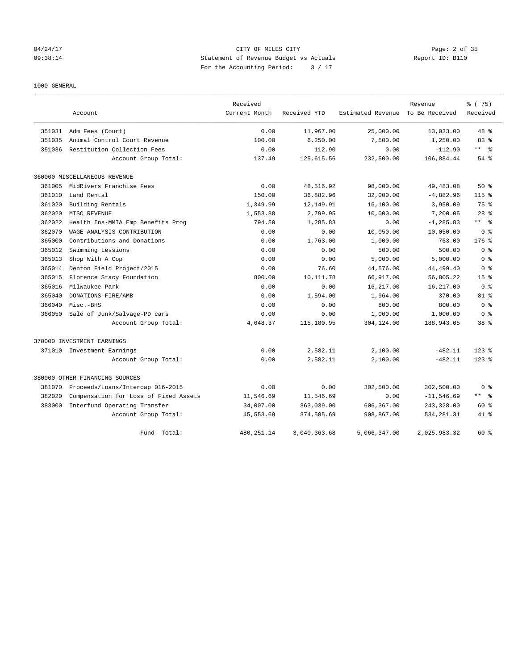## 04/24/17 CITY OF MILES CITY Page: 2 of 35 09:38:14 Statement of Revenue Budget vs Actuals Report ID: B110 For the Accounting Period: 3 / 17

## 1000 GENERAL

|        |                                       | Received      |              |                   | Revenue        | % (75)                  |
|--------|---------------------------------------|---------------|--------------|-------------------|----------------|-------------------------|
|        | Account                               | Current Month | Received YTD | Estimated Revenue | To Be Received | Received                |
| 351031 | Adm Fees (Court)                      | 0.00          | 11,967.00    | 25,000.00         | 13,033.00      | 48 %                    |
| 351035 | Animal Control Court Revenue          | 100.00        | 6, 250.00    | 7,500.00          | 1,250.00       | 83%                     |
| 351036 | Restitution Collection Fees           | 0.00          | 112.90       | 0.00              | $-112.90$      | $***$ $=$ $\frac{6}{5}$ |
|        | Account Group Total:                  | 137.49        | 125,615.56   | 232,500.00        | 106,884.44     | $54$ $%$                |
|        | 360000 MISCELLANEOUS REVENUE          |               |              |                   |                |                         |
| 361005 | MidRivers Franchise Fees              | 0.00          | 48,516.92    | 98,000.00         | 49, 483.08     | $50*$                   |
| 361010 | Land Rental                           | 150.00        | 36,882.96    | 32,000.00         | $-4,882.96$    | 115.8                   |
| 361020 | Building Rentals                      | 1,349.99      | 12,149.91    | 16,100.00         | 3,950.09       | 75%                     |
| 362020 | MISC REVENUE                          | 1,553.88      | 2,799.95     | 10,000.00         | 7,200.05       | $28$ %                  |
| 362022 | Health Ins-MMIA Emp Benefits Prog     | 794.50        | 1,285.83     | 0.00              | $-1, 285.83$   | $***$ $%$               |
| 362070 | WAGE ANALYSIS CONTRIBUTION            | 0.00          | 0.00         | 10,050.00         | 10,050.00      | 0 <sup>8</sup>          |
| 365000 | Contributions and Donations           | 0.00          | 1,763.00     | 1,000.00          | $-763.00$      | $176$ %                 |
| 365012 | Swimming Lessions                     | 0.00          | 0.00         | 500.00            | 500.00         | 0 <sup>8</sup>          |
| 365013 | Shop With A Cop                       | 0.00          | 0.00         | 5,000.00          | 5,000.00       | 0 <sup>8</sup>          |
| 365014 | Denton Field Project/2015             | 0.00          | 76.60        | 44,576.00         | 44,499.40      | 0 <sup>8</sup>          |
| 365015 | Florence Stacy Foundation             | 800.00        | 10, 111.78   | 66,917.00         | 56,805.22      | 15 <sup>8</sup>         |
| 365016 | Milwaukee Park                        | 0.00          | 0.00         | 16,217.00         | 16,217.00      | 0 <sup>8</sup>          |
| 365040 | DONATIONS-FIRE/AMB                    | 0.00          | 1,594.00     | 1,964.00          | 370.00         | $81$ %                  |
| 366040 | Misc.-BHS                             | 0.00          | 0.00         | 800.00            | 800.00         | 0 <sup>8</sup>          |
| 366050 | Sale of Junk/Salvage-PD cars          | 0.00          | 0.00         | 1,000.00          | 1,000.00       | 0 <sup>8</sup>          |
|        | Account Group Total:                  | 4,648.37      | 115,180.95   | 304,124.00        | 188,943.05     | 38 <sup>8</sup>         |
|        | 370000 INVESTMENT EARNINGS            |               |              |                   |                |                         |
|        | 371010 Investment Earnings            | 0.00          | 2,582.11     | 2,100.00          | $-482.11$      | $123$ $%$               |
|        | Account Group Total:                  | 0.00          | 2,582.11     | 2,100.00          | $-482.11$      | $123$ $%$               |
|        | 380000 OTHER FINANCING SOURCES        |               |              |                   |                |                         |
| 381070 | Proceeds/Loans/Intercap 016-2015      | 0.00          | 0.00         | 302,500.00        | 302,500.00     | 0 <sup>8</sup>          |
| 382020 | Compensation for Loss of Fixed Assets | 11,546.69     | 11,546.69    | 0.00              | $-11, 546.69$  | $***$ $ -$              |
| 383000 | Interfund Operating Transfer          | 34,007.00     | 363,039.00   | 606,367.00        | 243,328.00     | $60*$                   |
|        | Account Group Total:                  | 45,553.69     | 374,585.69   | 908,867.00        | 534, 281.31    | $41*$                   |
|        | Fund<br>Total:                        | 480,251.14    | 3,040,363.68 | 5,066,347.00      | 2,025,983.32   | $60*$                   |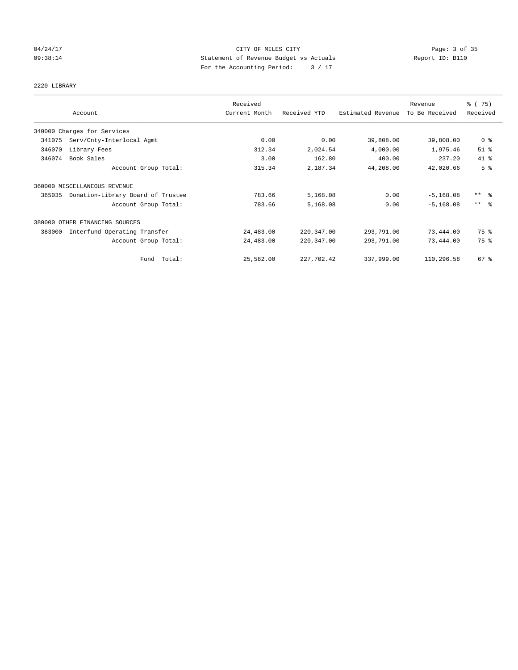# 04/24/17 CITY OF MILES CITY Page: 3 of 35 09:38:14 Statement of Revenue Budget vs Actuals Report ID: B110 For the Accounting Period: 3 / 17

# 2220 LIBRARY

|        |                                   | Received      |              |                   | Revenue        | % (75)              |
|--------|-----------------------------------|---------------|--------------|-------------------|----------------|---------------------|
|        | Account                           | Current Month | Received YTD | Estimated Revenue | To Be Received | Received            |
|        | 340000 Charges for Services       |               |              |                   |                |                     |
| 341075 | Serv/Cnty-Interlocal Agmt         | 0.00          | 0.00         | 39,808.00         | 39,808.00      | 0 <sup>8</sup>      |
| 346070 | Library Fees                      | 312.34        | 2,024.54     | 4,000.00          | 1,975.46       | $51$ %              |
| 346074 | Book Sales                        | 3.00          | 162.80       | 400.00            | 237.20         | 41.8                |
|        | Account Group Total:              | 315.34        | 2,187.34     | 44,208.00         | 42,020.66      | 5 <sup>°</sup>      |
|        | 360000 MISCELLANEOUS REVENUE      |               |              |                   |                |                     |
| 365035 | Donation-Library Board of Trustee | 783.66        | 5,168.08     | 0.00              | $-5, 168.08$   | $***$ $\frac{6}{5}$ |
|        | Account Group Total:              | 783.66        | 5,168.08     | 0.00              | $-5, 168.08$   | $***$ $\approx$     |
|        | 380000 OTHER FINANCING SOURCES    |               |              |                   |                |                     |
| 383000 | Interfund Operating Transfer      | 24,483.00     | 220, 347.00  | 293,791.00        | 73,444.00      | 75 %                |
|        | Account Group Total:              | 24,483.00     | 220, 347.00  | 293,791.00        | 73,444.00      | 75 %                |
|        | Fund Total:                       | 25,582.00     | 227,702.42   | 337,999.00        | 110,296.58     | $67$ %              |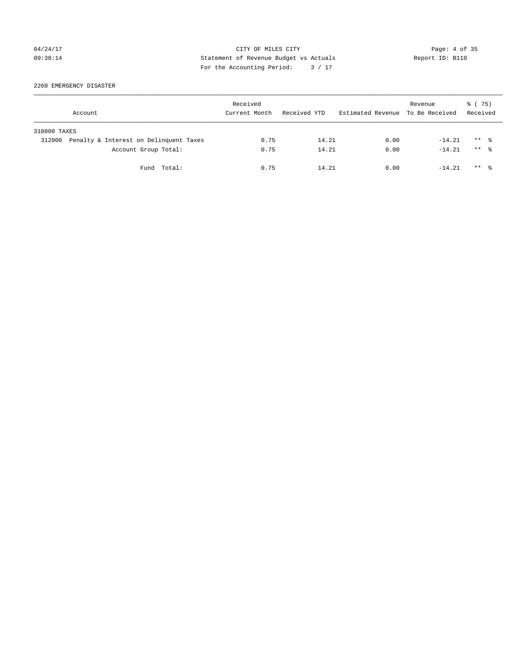# 04/24/17 CITY OF MILES CITY Page: 4 of 35 09:38:14 Statement of Revenue Budget vs Actuals Report ID: B110 For the Accounting Period: 3 / 17

2260 EMERGENCY DISASTER

| Account      |                                        | Received<br>Current Month | Received YTD | Estimated Revenue To Be Received | Revenue  | 8 (75)<br>Received   |
|--------------|----------------------------------------|---------------------------|--------------|----------------------------------|----------|----------------------|
| 310000 TAXES |                                        |                           |              |                                  |          |                      |
| 312000       | Penalty & Interest on Delinquent Taxes | 0.75                      | 14.21        | 0.00                             | $-14.21$ | $***$ $\frac{6}{10}$ |
|              | Account Group Total:                   | 0.75                      | 14.21        | 0.00                             | $-14.21$ | $***$ $\frac{6}{10}$ |
|              | Fund Total:                            | 0.75                      | 14.21        | 0.00                             | $-14.21$ | $***$ $\frac{6}{10}$ |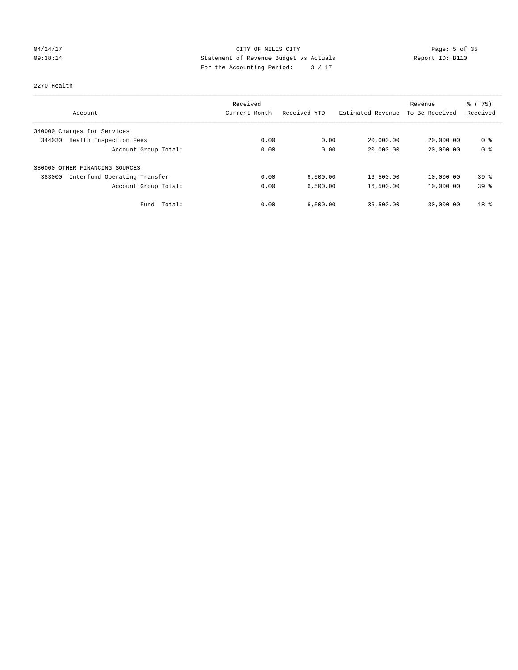# 04/24/17 CITY OF MILES CITY Page: 5 of 35 09:38:14 Statement of Revenue Budget vs Actuals Report ID: B110 For the Accounting Period: 3 / 17

#### 2270 Health

|                                        | Received      |              |                   | Revenue        | % (75)          |
|----------------------------------------|---------------|--------------|-------------------|----------------|-----------------|
| Account                                | Current Month | Received YTD | Estimated Revenue | To Be Received | Received        |
| 340000 Charges for Services            |               |              |                   |                |                 |
| Health Inspection Fees<br>344030       | 0.00          | 0.00         | 20,000.00         | 20,000.00      | 0 %             |
| Account Group Total:                   | 0.00          | 0.00         | 20,000.00         | 20,000.00      | 0 <sup>8</sup>  |
| 380000 OTHER FINANCING SOURCES         |               |              |                   |                |                 |
| Interfund Operating Transfer<br>383000 | 0.00          | 6,500.00     | 16,500.00         | 10,000.00      | 39 <sup>8</sup> |
| Account Group Total:                   | 0.00          | 6,500.00     | 16,500.00         | 10,000.00      | 39%             |
| Total:<br>Fund                         | 0.00          | 6,500.00     | 36,500.00         | 30,000.00      | 18 <sup>8</sup> |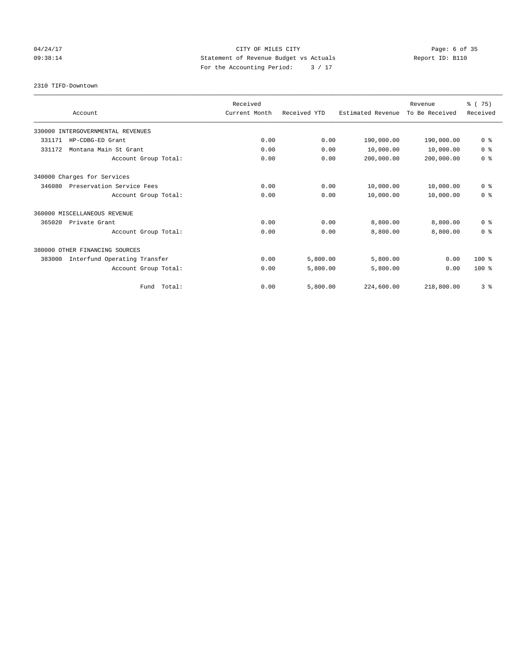## 04/24/17 CITY OF MILES CITY Page: 6 of 35 09:38:14 Statement of Revenue Budget vs Actuals Report ID: B110 For the Accounting Period: 3 / 17

2310 TIFD-Downtown

| Account                                | Received<br>Current Month | Received YTD | Estimated Revenue | Revenue<br>To Be Received | % (75)<br>Received |
|----------------------------------------|---------------------------|--------------|-------------------|---------------------------|--------------------|
|                                        |                           |              |                   |                           |                    |
| 330000 INTERGOVERNMENTAL REVENUES      |                           |              |                   |                           |                    |
| 331171<br>HP-CDBG-ED Grant             | 0.00                      | 0.00         | 190,000.00        | 190,000.00                | 0 <sup>8</sup>     |
| Montana Main St Grant<br>331172        | 0.00                      | 0.00         | 10,000.00         | 10,000.00                 | 0 <sup>8</sup>     |
| Account Group Total:                   | 0.00                      | 0.00         | 200,000.00        | 200,000.00                | 0 <sup>8</sup>     |
| 340000 Charges for Services            |                           |              |                   |                           |                    |
| 346080<br>Preservation Service Fees    | 0.00                      | 0.00         | 10,000.00         | 10,000.00                 | 0 <sup>8</sup>     |
| Account Group Total:                   | 0.00                      | 0.00         | 10,000.00         | 10,000.00                 | 0 <sup>8</sup>     |
| 360000 MISCELLANEOUS REVENUE           |                           |              |                   |                           |                    |
| 365020<br>Private Grant                | 0.00                      | 0.00         | 8,800.00          | 8,800.00                  | 0 <sup>8</sup>     |
| Account Group Total:                   | 0.00                      | 0.00         | 8,800.00          | 8,800.00                  | 0 <sup>8</sup>     |
| 380000 OTHER FINANCING SOURCES         |                           |              |                   |                           |                    |
| 383000<br>Interfund Operating Transfer | 0.00                      | 5,800.00     | 5,800.00          | 0.00                      | $100*$             |
| Account Group Total:                   | 0.00                      | 5,800.00     | 5,800.00          | 0.00                      | $100*$             |
| Fund Total:                            | 0.00                      | 5,800.00     | 224,600.00        | 218,800.00                | 3%                 |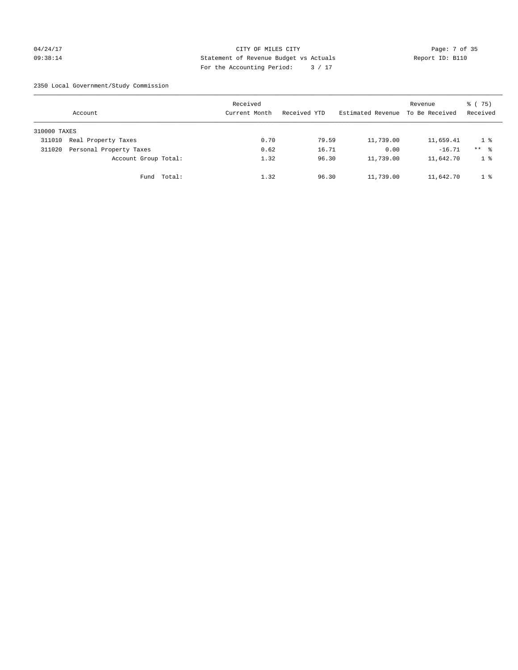## 04/24/17 CITY OF MILES CITY Page: 7 of 35 09:38:14 Statement of Revenue Budget vs Actuals Report ID: B110 For the Accounting Period: 3 / 17

2350 Local Government/Study Commission

|              | Account                 |             | Received<br>Current Month |      | Received YTD |       | Estimated Revenue To Be Received | Revenue   | 8 (75)<br>Received |
|--------------|-------------------------|-------------|---------------------------|------|--------------|-------|----------------------------------|-----------|--------------------|
| 310000 TAXES |                         |             |                           |      |              |       |                                  |           |                    |
| 311010       | Real Property Taxes     |             |                           | 0.70 |              | 79.59 | 11,739.00                        | 11,659.41 | 1 %                |
| 311020       | Personal Property Taxes |             |                           | 0.62 |              | 16.71 | 0.00                             | $-16.71$  | $***$ %            |
|              | Account Group Total:    |             |                           | 1.32 |              | 96.30 | 11,739.00                        | 11,642.70 | 1 <sup>°</sup>     |
|              |                         | Fund Total: |                           | 1.32 |              | 96.30 | 11,739.00                        | 11,642.70 | 1 <sup>8</sup>     |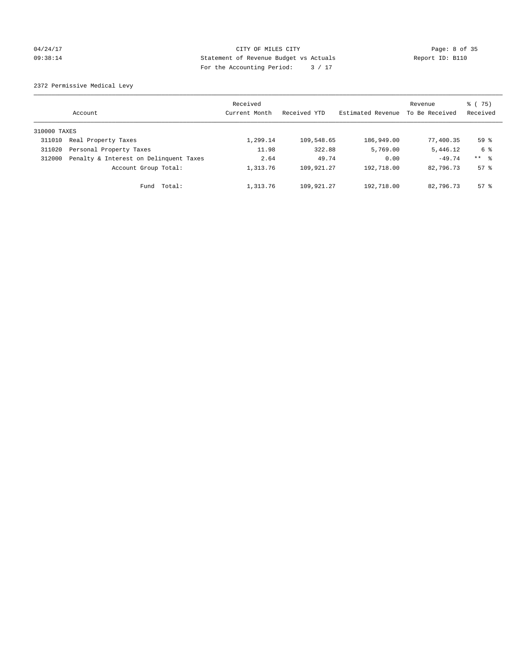## 04/24/17 CITY OF MILES CITY Page: 8 of 35 09:38:14 Statement of Revenue Budget vs Actuals Report ID: B110 For the Accounting Period: 3 / 17

2372 Permissive Medical Levy

|              | Account                                | Received<br>Current Month | Received YTD | Estimated Revenue | Revenue<br>To Be Received | % (75)<br>Received |
|--------------|----------------------------------------|---------------------------|--------------|-------------------|---------------------------|--------------------|
| 310000 TAXES |                                        |                           |              |                   |                           |                    |
| 311010       | Real Property Taxes                    | 1,299.14                  | 109,548.65   | 186,949.00        | 77,400.35                 | 59 <sup>°</sup>    |
| 311020       | Personal Property Taxes                | 11.98                     | 322.88       | 5,769.00          | 5,446.12                  | 6 %                |
| 312000       | Penalty & Interest on Delinquent Taxes | 2.64                      | 49.74        | 0.00              | $-49.74$                  | ** 8               |
|              | Account Group Total:                   | 1,313.76                  | 109,921.27   | 192,718.00        | 82,796.73                 | $57*$              |
|              | Total:<br>Fund                         | 1,313.76                  | 109,921.27   | 192,718.00        | 82,796.73                 | $57*$              |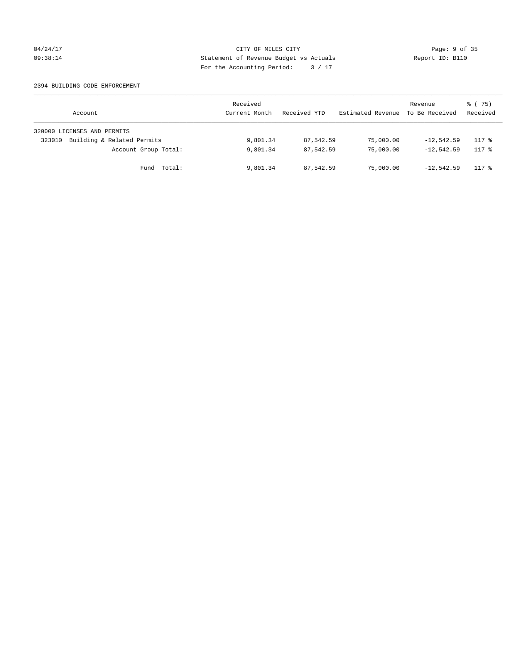## 04/24/17 CITY OF MILES CITY Page: 9 of 35 09:38:14 Statement of Revenue Budget vs Actuals Report ID: B110 For the Accounting Period: 3 / 17

#### 2394 BUILDING CODE ENFORCEMENT

| Account                              | Received<br>Current Month | Received YTD | Estimated Revenue | Revenue<br>To Be Received | 8 (75)<br>Received |
|--------------------------------------|---------------------------|--------------|-------------------|---------------------------|--------------------|
| 320000 LICENSES AND PERMITS          |                           |              |                   |                           |                    |
| Building & Related Permits<br>323010 | 9,801.34                  | 87,542.59    | 75,000.00         | $-12,542.59$              | $117$ %            |
| Account Group Total:                 | 9,801.34                  | 87,542.59    | 75,000.00         | $-12.542.59$              | $117$ $%$          |
| Fund Total:                          | 9,801.34                  | 87,542.59    | 75,000.00         | $-12,542.59$              | $117$ %            |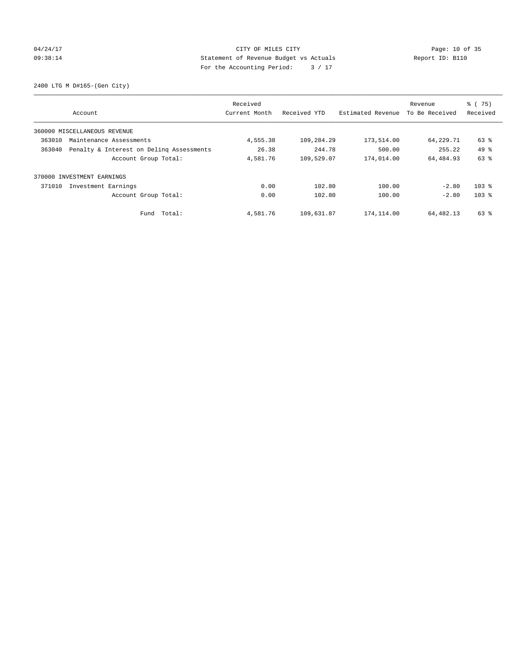## 04/24/17 Page: 10 of 35 09:38:14 Statement of Revenue Budget vs Actuals Report ID: B110 For the Accounting Period: 3 / 17

2400 LTG M D#165-(Gen City)

| Account                           |                                          | Received<br>Current Month | Received YTD | Estimated Revenue | Revenue<br>To Be Received | $\frac{6}{6}$ (75)<br>Received |
|-----------------------------------|------------------------------------------|---------------------------|--------------|-------------------|---------------------------|--------------------------------|
|                                   |                                          |                           |              |                   |                           |                                |
| 360000 MISCELLANEOUS REVENUE      |                                          |                           |              |                   |                           |                                |
| 363010<br>Maintenance Assessments |                                          | 4,555.38                  | 109,284.29   | 173,514.00        | 64,229.71                 | 63 %                           |
| 363040                            | Penalty & Interest on Deling Assessments | 26.38                     | 244.78       | 500.00            | 255.22                    | 49 %                           |
|                                   | Account Group Total:                     | 4,581.76                  | 109,529.07   | 174,014.00        | 64,484.93                 | 63 %                           |
| 370000 INVESTMENT EARNINGS        |                                          |                           |              |                   |                           |                                |
| 371010<br>Investment Earnings     |                                          | 0.00                      | 102.80       | 100.00            | $-2.80$                   | $103$ %                        |
|                                   | Account Group Total:                     | 0.00                      | 102.80       | 100.00            | $-2.80$                   | 103 <sub>8</sub>               |
|                                   | Fund Total:                              | 4,581.76                  | 109,631.87   | 174,114.00        | 64,482.13                 | 63 %                           |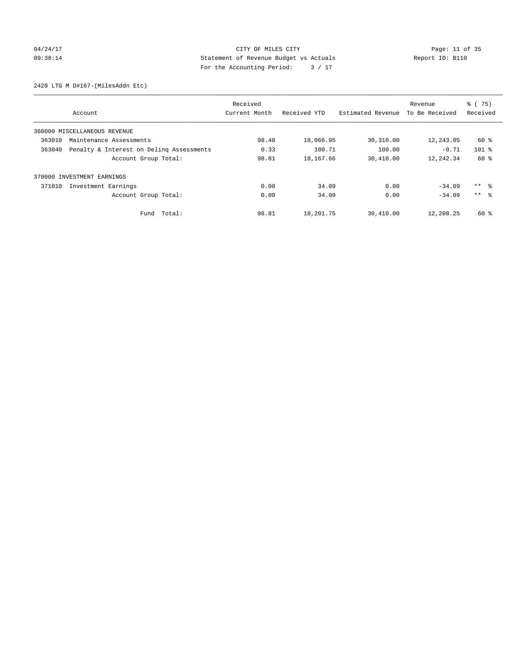# 04/24/17 Page: 11 of 35 09:38:14 Statement of Revenue Budget vs Actuals Report ID: B110 For the Accounting Period: 3 / 17

2420 LTG M D#167-(MilesAddn Etc)

|        |                                          | Received      |              |                   | Revenue        | $\frac{6}{6}$ (75) |
|--------|------------------------------------------|---------------|--------------|-------------------|----------------|--------------------|
|        | Account                                  | Current Month | Received YTD | Estimated Revenue | To Be Received | Received           |
|        | 360000 MISCELLANEOUS REVENUE             |               |              |                   |                |                    |
| 363010 | Maintenance Assessments                  | 98.48         | 18,066.95    | 30,310.00         | 12,243.05      | 60 %               |
| 363040 | Penalty & Interest on Deling Assessments | 0.33          | 100.71       | 100.00            | $-0.71$        | $101$ %            |
|        | Account Group Total:                     | 98.81         | 18,167.66    | 30,410.00         | 12,242.34      | 60 %               |
| 370000 | INVESTMENT EARNINGS                      |               |              |                   |                |                    |
| 371010 | Investment Earnings                      | 0.00          | 34.09        | 0.00              | $-34.09$       | ** 왕               |
|        | Account Group Total:                     | 0.00          | 34.09        | 0.00              | $-34.09$       | $***$ $\approx$    |
|        | Fund Total:                              | 98.81         | 18,201.75    | 30,410.00         | 12,208.25      | $60*$              |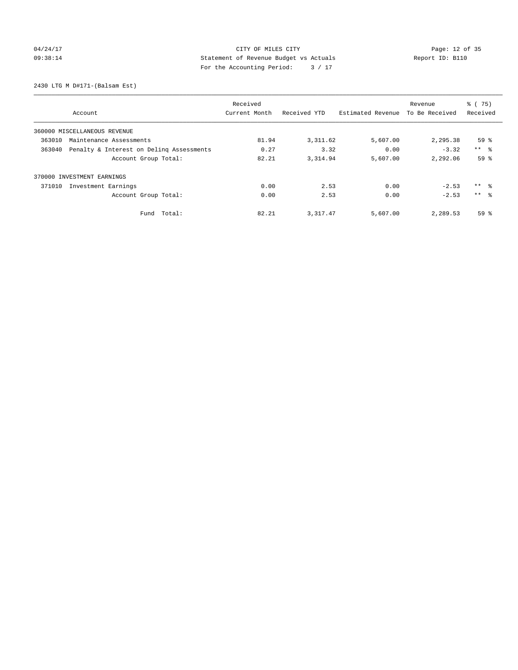# 04/24/17 Page: 12 of 35 09:38:14 Statement of Revenue Budget vs Actuals Report ID: B110 For the Accounting Period: 3 / 17

2430 LTG M D#171-(Balsam Est)

|                                                    | Received      |              |                   | Revenue        | $\frac{6}{6}$ (75) |
|----------------------------------------------------|---------------|--------------|-------------------|----------------|--------------------|
| Account                                            | Current Month | Received YTD | Estimated Revenue | To Be Received | Received           |
| 360000 MISCELLANEOUS REVENUE                       |               |              |                   |                |                    |
| 363010<br>Maintenance Assessments                  | 81.94         | 3, 311.62    | 5,607.00          | 2,295.38       | 59%                |
| 363040<br>Penalty & Interest on Deling Assessments | 0.27          | 3.32         | 0.00              | $-3.32$        | $***$ $ -$         |
| Account Group Total:                               | 82.21         | 3,314.94     | 5,607.00          | 2,292.06       | 59 <sup>8</sup>    |
| 370000 INVESTMENT EARNINGS                         |               |              |                   |                |                    |
| Investment Earnings<br>371010                      | 0.00          | 2.53         | 0.00              | $-2.53$        | ** 왕               |
| Account Group Total:                               | 0.00          | 2.53         | 0.00              | $-2.53$        | $***$ $\approx$    |
| Total:<br>Fund                                     | 82.21         | 3, 317.47    | 5,607.00          | 2,289.53       | 59 <sup>8</sup>    |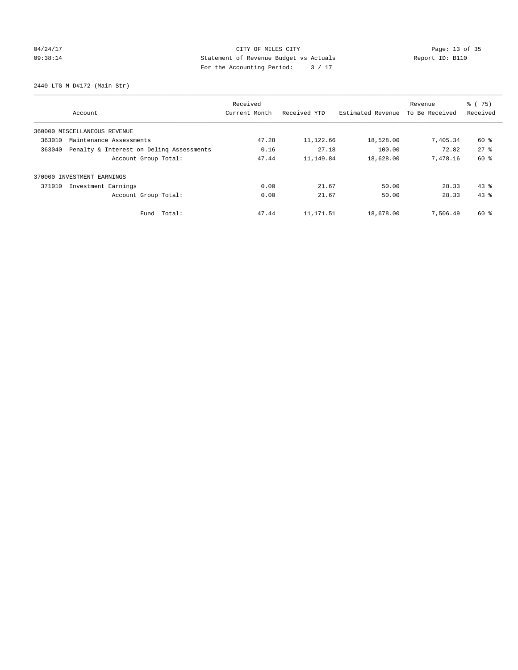# 04/24/17 Page: 13 of 35 09:38:14 Statement of Revenue Budget vs Actuals Report ID: B110 For the Accounting Period: 3 / 17

2440 LTG M D#172-(Main Str)

|        |                                          | Received      |              |                   | Revenue        | $\frac{6}{6}$ (75) |
|--------|------------------------------------------|---------------|--------------|-------------------|----------------|--------------------|
|        | Account                                  | Current Month | Received YTD | Estimated Revenue | To Be Received | Received           |
|        | 360000 MISCELLANEOUS REVENUE             |               |              |                   |                |                    |
| 363010 | Maintenance Assessments                  | 47.28         | 11,122.66    | 18,528.00         | 7,405.34       | 60 %               |
| 363040 | Penalty & Interest on Deling Assessments | 0.16          | 27.18        | 100.00            | 72.82          | $27$ $%$           |
|        | Account Group Total:                     | 47.44         | 11,149.84    | 18,628.00         | 7,478.16       | 60 %               |
|        | 370000 INVESTMENT EARNINGS               |               |              |                   |                |                    |
| 371010 | Investment Earnings                      | 0.00          | 21.67        | 50.00             | 28.33          | $43$ %             |
|        | Account Group Total:                     | 0.00          | 21.67        | 50.00             | 28.33          | 43.8               |
|        | Fund Total:                              | 47.44         | 11,171.51    | 18,678.00         | 7,506.49       | 60 %               |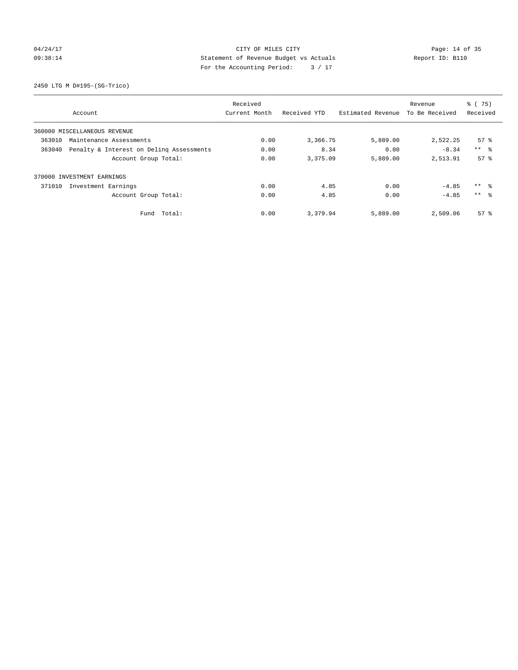## 04/24/17 Page: 14 of 35 09:38:14 Statement of Revenue Budget vs Actuals Report ID: B110 For the Accounting Period: 3 / 17

2450 LTG M D#195-(SG-Trico)

|        |                                          | Received      |              |                   | Revenue        | $\frac{6}{6}$ (75) |
|--------|------------------------------------------|---------------|--------------|-------------------|----------------|--------------------|
|        | Account                                  | Current Month | Received YTD | Estimated Revenue | To Be Received | Received           |
|        | 360000 MISCELLANEOUS REVENUE             |               |              |                   |                |                    |
| 363010 | Maintenance Assessments                  | 0.00          | 3,366.75     | 5,889.00          | 2,522.25       | $57*$              |
| 363040 | Penalty & Interest on Deling Assessments | 0.00          | 8.34         | 0.00              | $-8.34$        | $***$ $\approx$    |
|        | Account Group Total:                     | 0.00          | 3,375.09     | 5,889.00          | 2,513.91       | 57 <sup>8</sup>    |
|        | 370000 INVESTMENT EARNINGS               |               |              |                   |                |                    |
| 371010 | Investment Earnings                      | 0.00          | 4.85         | 0.00              | $-4.85$        | $***$ $ -$         |
|        | Account Group Total:                     | 0.00          | 4.85         | 0.00              | $-4.85$        | $***$ $\approx$    |
|        | Fund Total:                              | 0.00          | 3,379.94     | 5,889.00          | 2,509.06       | $57*$              |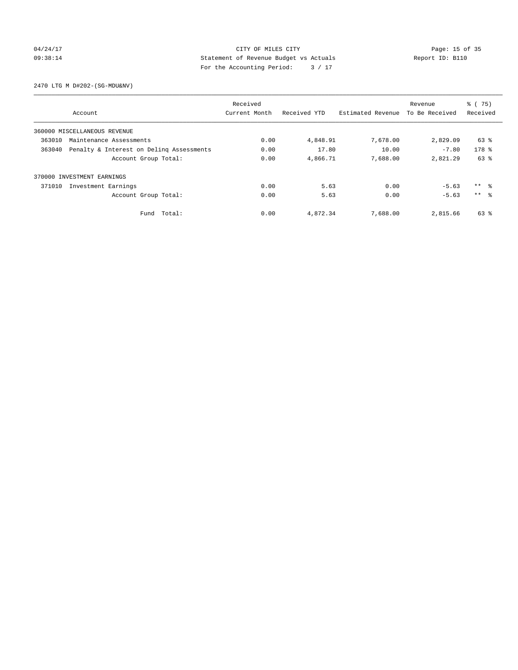## 04/24/17 Page: 15 of 35 09:38:14 Statement of Revenue Budget vs Actuals Report ID: B110 For the Accounting Period: 3 / 17

2470 LTG M D#202-(SG-MDU&NV)

|                                   |                                          | Received      |              |                   | Revenue        | $\frac{6}{6}$ (75) |
|-----------------------------------|------------------------------------------|---------------|--------------|-------------------|----------------|--------------------|
| Account                           |                                          | Current Month | Received YTD | Estimated Revenue | To Be Received | Received           |
| 360000 MISCELLANEOUS REVENUE      |                                          |               |              |                   |                |                    |
| 363010<br>Maintenance Assessments |                                          | 0.00          | 4,848.91     | 7,678.00          | 2,829.09       | 63 %               |
| 363040                            | Penalty & Interest on Deling Assessments | 0.00          | 17.80        | 10.00             | $-7.80$        | 178 %              |
|                                   | Account Group Total:                     | 0.00          | 4,866.71     | 7,688.00          | 2,821.29       | 63 %               |
| 370000 INVESTMENT EARNINGS        |                                          |               |              |                   |                |                    |
| 371010<br>Investment Earnings     |                                          | 0.00          | 5.63         | 0.00              | $-5.63$        | $***$ $ -$         |
|                                   | Account Group Total:                     | 0.00          | 5.63         | 0.00              | $-5.63$        | $***$ $\approx$    |
|                                   | Fund Total:                              | 0.00          | 4,872.34     | 7,688.00          | 2,815.66       | 63 %               |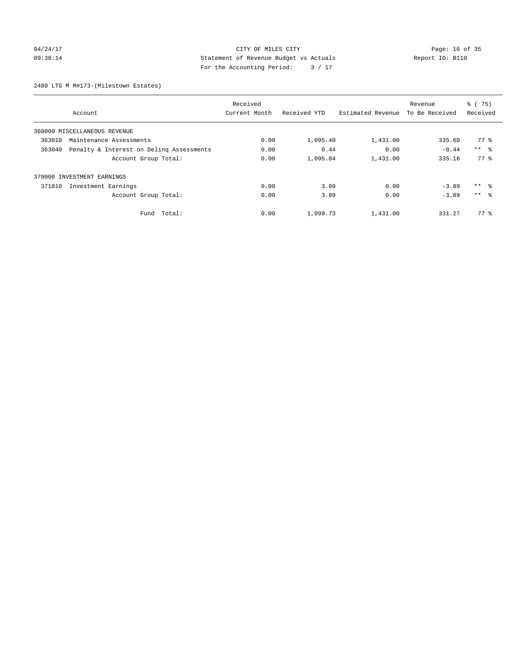## 04/24/17 Page: 16 of 35 09:38:14 Statement of Revenue Budget vs Actuals Report ID: B110 For the Accounting Period: 3 / 17

2480 LTG M M#173-(Milestown Estates)

|                                                    | Received      |              |                   | Revenue        | $\frac{6}{6}$ (75) |
|----------------------------------------------------|---------------|--------------|-------------------|----------------|--------------------|
| Account                                            | Current Month | Received YTD | Estimated Revenue | To Be Received | Received           |
| 360000 MISCELLANEOUS REVENUE                       |               |              |                   |                |                    |
| 363010<br>Maintenance Assessments                  | 0.00          | 1,095.40     | 1,431.00          | 335.60         | 77 %               |
| 363040<br>Penalty & Interest on Deling Assessments | 0.00          | 0.44         | 0.00              | $-0.44$        | $***$ $ -$         |
| Account Group Total:                               | 0.00          | 1,095.84     | 1,431.00          | 335.16         | 77.8               |
| 370000 INVESTMENT EARNINGS                         |               |              |                   |                |                    |
| 371010<br>Investment Earnings                      | 0.00          | 3.89         | 0.00              | $-3.89$        | ** 왕               |
| Account Group Total:                               | 0.00          | 3.89         | 0.00              | $-3.89$        | $***$ $\approx$    |
| Total:<br>Fund                                     | 0.00          | 1,099.73     | 1,431.00          | 331.27         | $77*$              |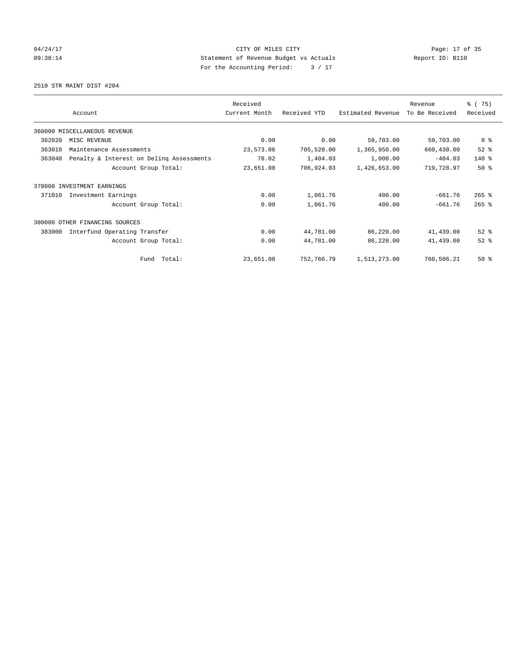# 04/24/17 Page: 17 of 35 09:38:14 Statement of Revenue Budget vs Actuals Report ID: B110 For the Accounting Period: 3 / 17

2510 STR MAINT DIST #204

|        |                                          | Received      |              |                   | Revenue        | % (75)              |
|--------|------------------------------------------|---------------|--------------|-------------------|----------------|---------------------|
|        | Account                                  | Current Month | Received YTD | Estimated Revenue | To Be Received | Received            |
|        | 360000 MISCELLANEOUS REVENUE             |               |              |                   |                |                     |
| 362020 | MISC REVENUE                             | 0.00          | 0.00         | 59,703.00         | 59,703.00      | 0 <sup>8</sup>      |
| 363010 | Maintenance Assessments                  | 23,573.06     | 705,520.00   | 1,365,950.00      | 660,430.00     | $52$ $%$            |
| 363040 | Penalty & Interest on Deling Assessments | 78.02         | 1,404.03     | 1,000.00          | $-404.03$      | 140 %               |
|        | Account Group Total:                     | 23,651.08     | 706,924.03   | 1,426,653.00      | 719,728.97     | $50*$               |
| 370000 | INVESTMENT EARNINGS                      |               |              |                   |                |                     |
| 371010 | Investment Earnings                      | 0.00          | 1,061.76     | 400.00            | $-661.76$      | $265$ $\frac{6}{3}$ |
|        | Account Group Total:                     | 0.00          | 1,061.76     | 400.00            | $-661.76$      | $265$ $%$           |
|        | 380000 OTHER FINANCING SOURCES           |               |              |                   |                |                     |
| 383000 | Interfund Operating Transfer             | 0.00          | 44,781.00    | 86,220.00         | 41,439.00      | $52$ $%$            |
|        | Account Group Total:                     | 0.00          | 44,781.00    | 86,220.00         | 41,439.00      | $52$ $%$            |
|        | Fund Total:                              | 23,651.08     | 752,766.79   | 1,513,273.00      | 760,506.21     | $50*$               |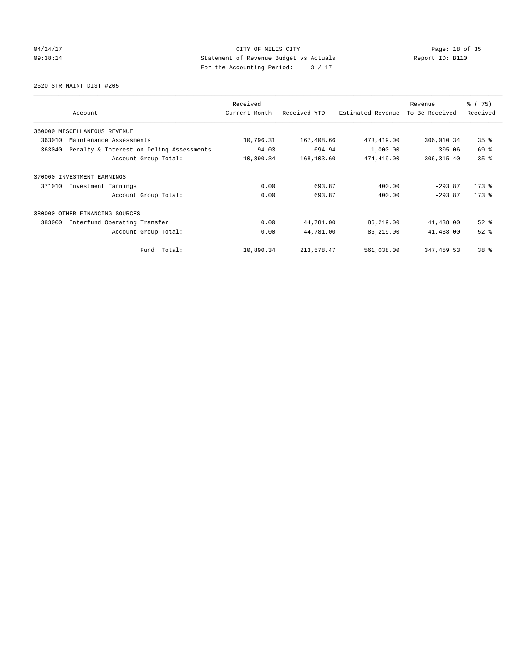# 04/24/17 Page: 18 of 35 09:38:14 Statement of Revenue Budget vs Actuals Report ID: B110 For the Accounting Period: 3 / 17

2520 STR MAINT DIST #205

|                                                    | Received      |              |                   | Revenue        | % (75)          |
|----------------------------------------------------|---------------|--------------|-------------------|----------------|-----------------|
| Account                                            | Current Month | Received YTD | Estimated Revenue | To Be Received | Received        |
| 360000 MISCELLANEOUS REVENUE                       |               |              |                   |                |                 |
| 363010<br>Maintenance Assessments                  | 10,796.31     | 167,408.66   | 473,419.00        | 306,010.34     | 35 <sup>8</sup> |
| 363040<br>Penalty & Interest on Deling Assessments | 94.03         | 694.94       | 1,000.00          | 305.06         | 69 %            |
| Account Group Total:                               | 10,890.34     | 168,103.60   | 474,419.00        | 306, 315.40    | 35%             |
| 370000 INVESTMENT EARNINGS                         |               |              |                   |                |                 |
| 371010<br>Investment Earnings                      | 0.00          | 693.87       | 400.00            | $-293.87$      | $173$ $%$       |
| Account Group Total:                               | 0.00          | 693.87       | 400.00            | $-293.87$      | $173$ $%$       |
| 380000<br>OTHER FINANCING SOURCES                  |               |              |                   |                |                 |
| 383000<br>Interfund Operating Transfer             | 0.00          | 44,781.00    | 86,219.00         | 41,438.00      | $52$ $%$        |
| Account Group Total:                               | 0.00          | 44,781.00    | 86,219.00         | 41,438.00      | $52$ $%$        |
| Fund Total:                                        | 10,890.34     | 213,578.47   | 561,038.00        | 347, 459.53    | 38 <sup>8</sup> |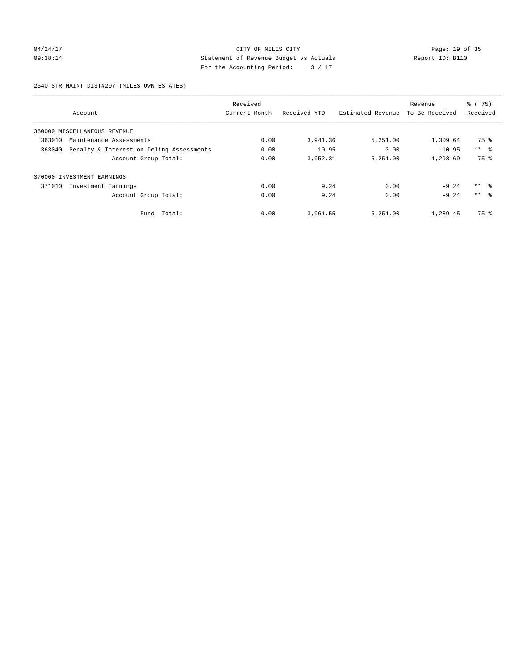## 04/24/17 Page: 19 of 35 09:38:14 Statement of Revenue Budget vs Actuals Report ID: B110 For the Accounting Period: 3 / 17

2540 STR MAINT DIST#207-(MILESTOWN ESTATES)

|        |                                          | Received      |              |                   | Revenue        | % (75)              |
|--------|------------------------------------------|---------------|--------------|-------------------|----------------|---------------------|
|        | Account                                  | Current Month | Received YTD | Estimated Revenue | To Be Received | Received            |
|        | 360000 MISCELLANEOUS REVENUE             |               |              |                   |                |                     |
| 363010 | Maintenance Assessments                  | 0.00          | 3,941.36     | 5,251.00          | 1,309.64       | 75 %                |
| 363040 | Penalty & Interest on Deling Assessments | 0.00          | 10.95        | 0.00              | $-10.95$       | $***$ $\approx$     |
|        | Account Group Total:                     | 0.00          | 3,952.31     | 5,251.00          | 1,298.69       | 75 %                |
|        | 370000 INVESTMENT EARNINGS               |               |              |                   |                |                     |
| 371010 | Investment Earnings                      | 0.00          | 9.24         | 0.00              | $-9.24$        | $***$ $\frac{6}{3}$ |
|        | Account Group Total:                     | 0.00          | 9.24         | 0.00              | $-9.24$        | $***$ $\approx$     |
|        | Total:<br>Fund                           | 0.00          | 3,961.55     | 5,251.00          | 1,289.45       | 75 %                |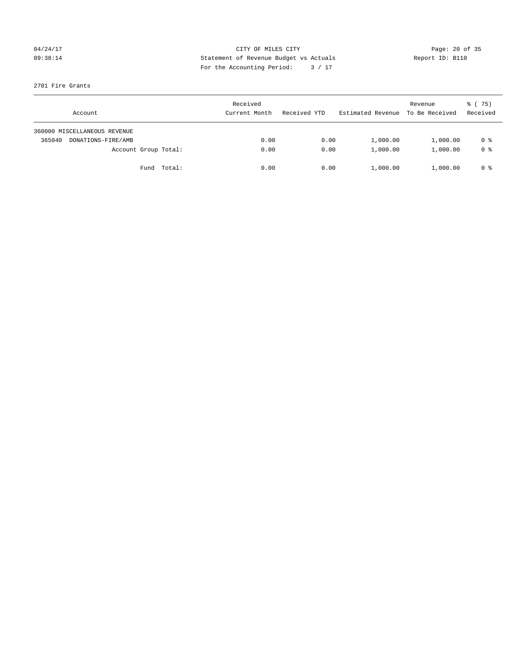## 04/24/17 Page: 20 of 35 09:38:14 Statement of Revenue Budget vs Actuals Report ID: B110 For the Accounting Period: 3 / 17

## 2701 Fire Grants

|        | Account                      |                      | Received<br>Current Month | Received YTD | Estimated Revenue | Revenue<br>To Be Received | 8 (75)<br>Received |
|--------|------------------------------|----------------------|---------------------------|--------------|-------------------|---------------------------|--------------------|
|        | 360000 MISCELLANEOUS REVENUE |                      |                           |              |                   |                           |                    |
| 365040 | DONATIONS-FIRE/AMB           |                      | 0.00                      | 0.00         | 1,000.00          | 1,000.00                  | 0 %                |
|        |                              | Account Group Total: | 0.00                      | 0.00         | 1,000.00          | 1,000.00                  | 0 %                |
|        |                              | Fund Total:          | 0.00                      | 0.00         | 1,000.00          | 1,000.00                  | 0 %                |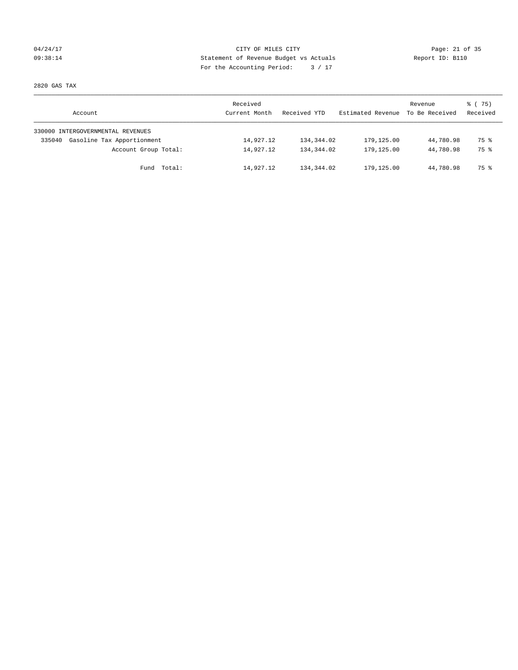## 04/24/17 Page: 21 of 35 09:38:14 Statement of Revenue Budget vs Actuals Report ID: B110 For the Accounting Period: 3 / 17

2820 GAS TAX

| Account                              | Received<br>Current Month | Received YTD | Estimated Revenue | Revenue<br>To Be Received | 8 (75)<br>Received |
|--------------------------------------|---------------------------|--------------|-------------------|---------------------------|--------------------|
| 330000 INTERGOVERNMENTAL REVENUES    |                           |              |                   |                           |                    |
| Gasoline Tax Apportionment<br>335040 | 14,927.12                 | 134, 344, 02 | 179,125.00        | 44,780.98                 | 75 %               |
| Account Group Total:                 | 14,927.12                 | 134,344.02   | 179,125.00        | 44,780.98                 | 75 %               |
| Fund Total:                          | 14,927.12                 | 134,344.02   | 179,125.00        | 44,780.98                 | 75 %               |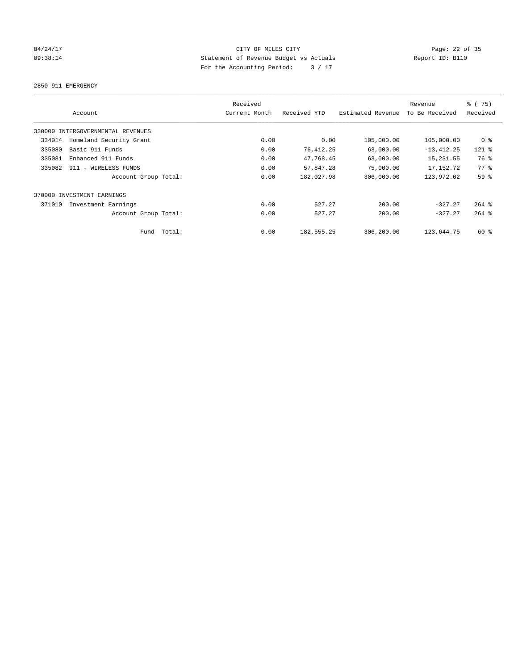# 04/24/17 Page: 22 of 35 09:38:14 Statement of Revenue Budget vs Actuals Report ID: B110 For the Accounting Period: 3 / 17

2850 911 EMERGENCY

|                                   | Received      |              |                   |                           | % (75)         |
|-----------------------------------|---------------|--------------|-------------------|---------------------------|----------------|
| Account                           | Current Month | Received YTD | Estimated Revenue | Revenue<br>To Be Received | Received       |
|                                   |               |              |                   |                           |                |
| 330000 INTERGOVERNMENTAL REVENUES |               |              |                   |                           |                |
| Homeland Security Grant<br>334014 | 0.00          | 0.00         | 105,000.00        | 105,000.00                | 0 <sup>8</sup> |
| Basic 911 Funds<br>335080         | 0.00          | 76, 412.25   | 63,000.00         | $-13, 412.25$             | $121$ $%$      |
| 335081<br>Enhanced 911 Funds      | 0.00          | 47,768.45    | 63,000.00         | 15, 231.55                | 76 %           |
| 335082<br>911 - WIRELESS FUNDS    | 0.00          | 57,847.28    | 75,000.00         | 17, 152. 72               | 77.8           |
| Account Group Total:              | 0.00          | 182,027.98   | 306,000.00        | 123,972.02                | 59 %           |
| 370000 INVESTMENT EARNINGS        |               |              |                   |                           |                |
| 371010<br>Investment Earnings     | 0.00          | 527.27       | 200.00            | $-327.27$                 | $264$ $%$      |
| Account Group Total:              | 0.00          | 527.27       | 200.00            | $-327.27$                 | $264$ $%$      |
| Fund Total:                       | 0.00          | 182, 555.25  | 306,200.00        | 123,644.75                | $60*$          |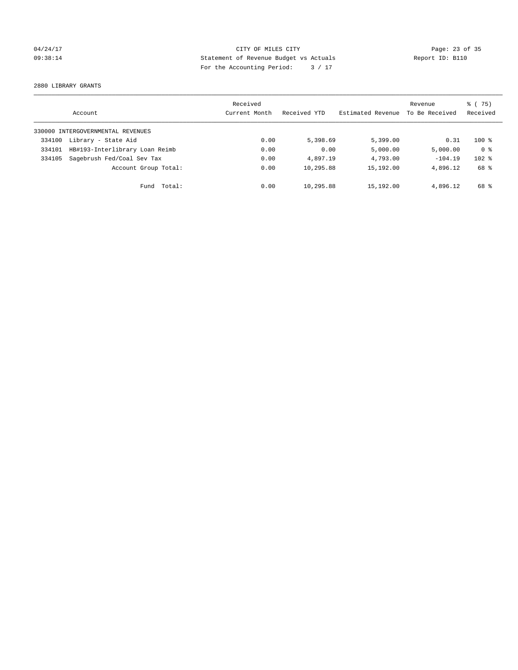# 04/24/17 Page: 23 of 35 09:38:14 Statement of Revenue Budget vs Actuals Report ID: B110 For the Accounting Period: 3 / 17

2880 LIBRARY GRANTS

|        | Account                           | Received<br>Current Month | Received YTD | Estimated Revenue | Revenue<br>To Be Received | % (75)<br>Received |
|--------|-----------------------------------|---------------------------|--------------|-------------------|---------------------------|--------------------|
|        | 330000 INTERGOVERNMENTAL REVENUES |                           |              |                   |                           |                    |
| 334100 | Library - State Aid               | 0.00                      | 5,398.69     | 5,399.00          | 0.31                      | $100*$             |
| 334101 | HB#193-Interlibrary Loan Reimb    | 0.00                      | 0.00         | 5,000.00          | 5,000.00                  | 0 <sup>8</sup>     |
| 334105 | Sagebrush Fed/Coal Sev Tax        | 0.00                      | 4,897.19     | 4,793.00          | $-104.19$                 | $102$ %            |
|        | Account Group Total:              | 0.00                      | 10,295.88    | 15,192.00         | 4,896.12                  | 68 %               |
|        | Total:<br>Fund                    | 0.00                      | 10,295.88    | 15,192.00         | 4,896.12                  | 68 %               |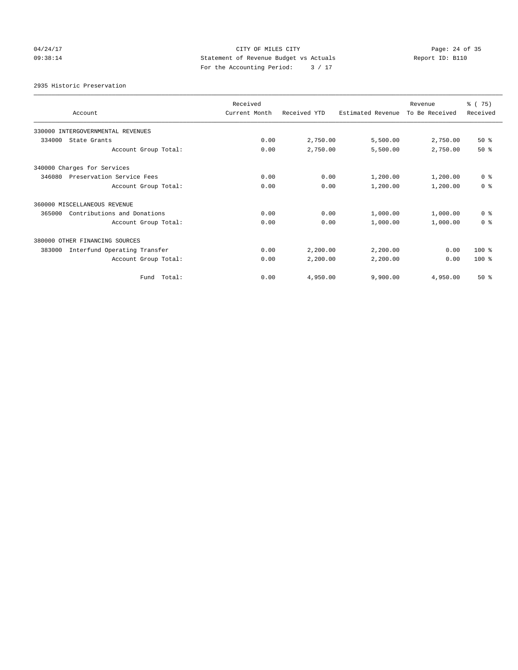# 04/24/17 Page: 24 of 35 09:38:14 Statement of Revenue Budget vs Actuals Report ID: B110 For the Accounting Period: 3 / 17

2935 Historic Preservation

| Account                                | Received<br>Current Month | Received YTD | Estimated Revenue | Revenue<br>To Be Received | % (75)<br>Received |
|----------------------------------------|---------------------------|--------------|-------------------|---------------------------|--------------------|
| 330000 INTERGOVERNMENTAL REVENUES      |                           |              |                   |                           |                    |
| 334000<br>State Grants                 | 0.00                      | 2,750.00     | 5,500.00          | 2,750.00                  | 50%                |
| Account Group Total:                   | 0.00                      | 2,750.00     | 5,500.00          | 2,750.00                  | $50*$              |
| 340000 Charges for Services            |                           |              |                   |                           |                    |
| 346080<br>Preservation Service Fees    | 0.00                      | 0.00         | 1,200.00          | 1,200.00                  | 0 <sup>8</sup>     |
| Account Group Total:                   | 0.00                      | 0.00         | 1,200.00          | 1,200.00                  | 0 <sup>8</sup>     |
| 360000 MISCELLANEOUS REVENUE           |                           |              |                   |                           |                    |
| Contributions and Donations<br>365000  | 0.00                      | 0.00         | 1,000.00          | 1,000.00                  | 0 <sup>8</sup>     |
| Account Group Total:                   | 0.00                      | 0.00         | 1,000.00          | 1,000.00                  | 0 <sup>8</sup>     |
| 380000 OTHER FINANCING SOURCES         |                           |              |                   |                           |                    |
| Interfund Operating Transfer<br>383000 | 0.00                      | 2,200.00     | 2,200.00          | 0.00                      | $100*$             |
| Account Group Total:                   | 0.00                      | 2,200.00     | 2,200.00          | 0.00                      | 100%               |
| Total:<br>Fund                         | 0.00                      | 4,950.00     | 9,900.00          | 4,950.00                  | $50*$              |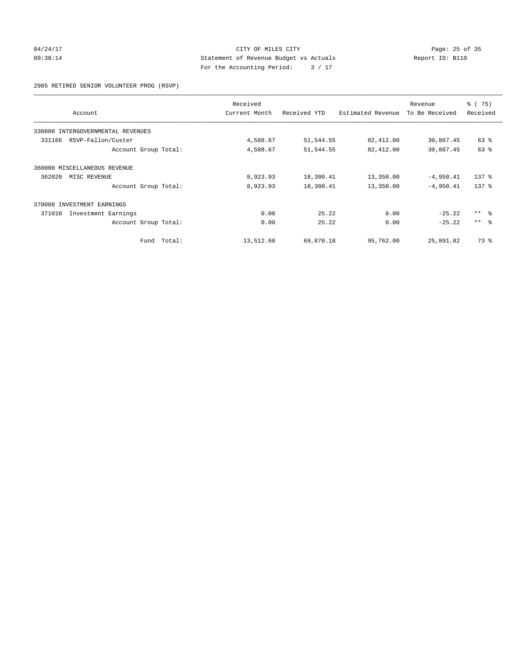## 04/24/17 Page: 25 of 35 09:38:14 Statement of Revenue Budget vs Actuals Report ID: B110 For the Accounting Period: 3 / 17

2985 RETIRED SENIOR VOLUNTEER PROG (RSVP)

|                                      |        | Received      |              |                   | Revenue        | % (75)     |
|--------------------------------------|--------|---------------|--------------|-------------------|----------------|------------|
| Account                              |        | Current Month | Received YTD | Estimated Revenue | To Be Received | Received   |
| 330000<br>INTERGOVERNMENTAL REVENUES |        |               |              |                   |                |            |
| RSVP-Fallon/Custer<br>331166         |        | 4,588.67      | 51, 544.55   | 82,412.00         | 30,867.45      | 63 %       |
| Account Group Total:                 |        | 4,588.67      | 51, 544.55   | 82,412.00         | 30,867.45      | 63 %       |
| 360000 MISCELLANEOUS REVENUE         |        |               |              |                   |                |            |
| 362020<br>MISC REVENUE               |        | 8,923.93      | 18,300.41    | 13,350.00         | $-4,950.41$    | $137$ %    |
| Account Group Total:                 |        | 8,923.93      | 18,300.41    | 13,350.00         | $-4,950.41$    | $137$ $%$  |
| 370000 INVESTMENT EARNINGS           |        |               |              |                   |                |            |
| Investment Earnings<br>371010        |        | 0.00          | 25.22        | 0.00              | $-25.22$       | $***$ $ -$ |
| Account Group Total:                 |        | 0.00          | 25.22        | 0.00              | $-25.22$       | $***$ $ -$ |
| Fund                                 | Total: | 13,512.60     | 69,870.18    | 95,762.00         | 25,891.82      | 73.8       |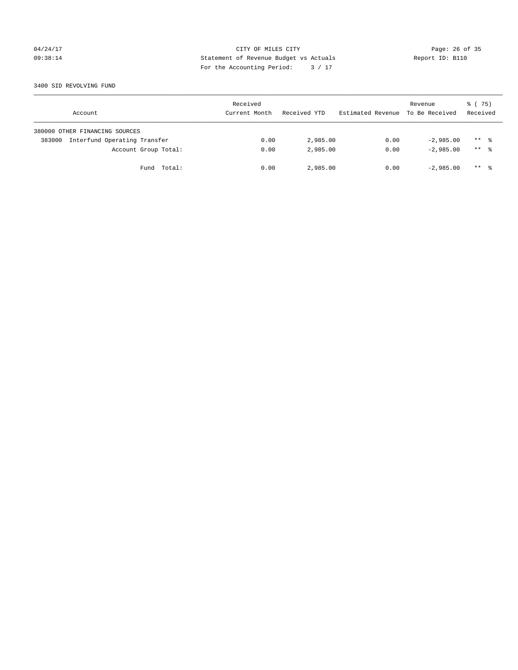## 04/24/17 Page: 26 of 35 09:38:14 Statement of Revenue Budget vs Actuals Report ID: B110 For the Accounting Period: 3 / 17

#### 3400 SID REVOLVING FUND

| Account                                | Received<br>Current Month | Received YTD | Estimated Revenue | Revenue<br>To Be Received | 8 (75)<br>Received |
|----------------------------------------|---------------------------|--------------|-------------------|---------------------------|--------------------|
| 380000 OTHER FINANCING SOURCES         |                           |              |                   |                           |                    |
| Interfund Operating Transfer<br>383000 | 0.00                      | 2,985.00     | 0.00              | $-2.985.00$               | $***$ %            |
| Account Group Total:                   | 0.00                      | 2,985.00     | 0.00              | $-2.985.00$               | $***$ %            |
| Fund Total:                            | 0.00                      | 2,985.00     | 0.00              | $-2,985.00$               | $***$ %            |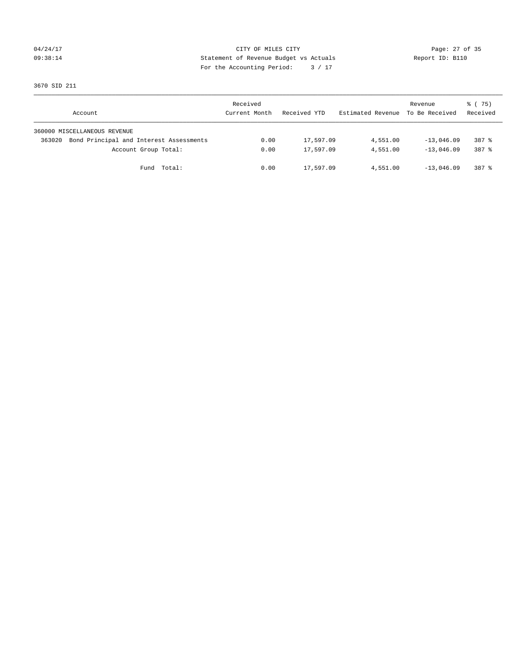## 04/24/17 Page: 27 of 35 09:38:14 Statement of Revenue Budget vs Actuals Report ID: B110 For the Accounting Period: 3 / 17

3670 SID 211

| Account                                           | Received<br>Current Month | Received YTD | Estimated Revenue | Revenue<br>To Be Received | 8 (75)<br>Received |
|---------------------------------------------------|---------------------------|--------------|-------------------|---------------------------|--------------------|
| 360000 MISCELLANEOUS REVENUE                      |                           |              |                   |                           |                    |
| Bond Principal and Interest Assessments<br>363020 | 0.00                      | 17,597.09    | 4,551.00          | $-13,046.09$              | 387 %              |
| Account Group Total:                              | 0.00                      | 17,597.09    | 4,551.00          | $-13.046.09$              | 387 %              |
| Fund Total:                                       | 0.00                      | 17,597.09    | 4,551.00          | $-13,046.09$              | 387 %              |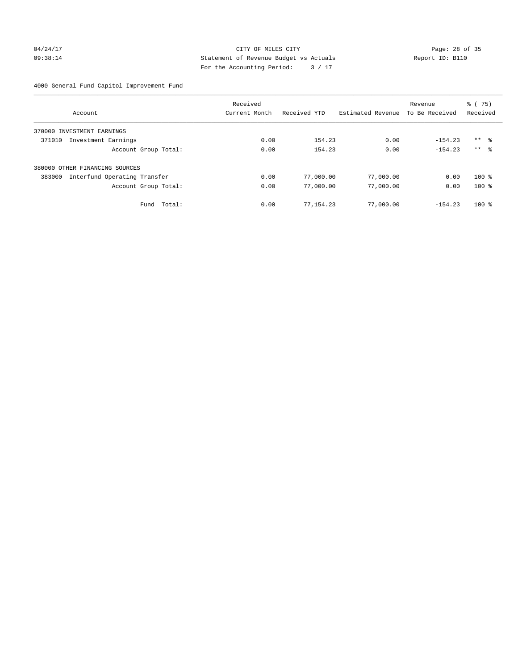04/24/17 Page: 28 of 35 09:38:14 Statement of Revenue Budget vs Actuals Report ID: B110 For the Accounting Period: 3 / 17

4000 General Fund Capitol Improvement Fund

|                                        | Received      |              |                   | Revenue        | $\frac{6}{6}$ (75)  |
|----------------------------------------|---------------|--------------|-------------------|----------------|---------------------|
| Account                                | Current Month | Received YTD | Estimated Revenue | To Be Received | Received            |
| 370000 INVESTMENT EARNINGS             |               |              |                   |                |                     |
| 371010<br>Investment Earnings          | 0.00          | 154.23       | 0.00              | $-154.23$      | $***$ $\frac{6}{3}$ |
| Account Group Total:                   | 0.00          | 154.23       | 0.00              | $-154.23$      | $***$ $\frac{6}{3}$ |
| OTHER FINANCING SOURCES<br>380000      |               |              |                   |                |                     |
| Interfund Operating Transfer<br>383000 | 0.00          | 77,000.00    | 77,000.00         | 0.00           | $100*$              |
| Account Group Total:                   | 0.00          | 77,000.00    | 77,000.00         | 0.00           | $100*$              |
| Fund Total:                            | 0.00          | 77,154.23    | 77,000.00         | $-154.23$      | $100*$              |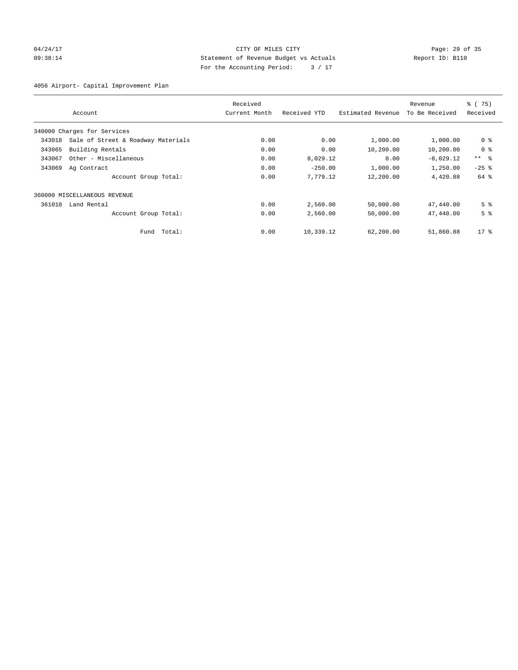## 04/24/17 Page: 29 of 35 09:38:14 Statement of Revenue Budget vs Actuals Report ID: B110 For the Accounting Period: 3 / 17

4056 Airport- Capital Improvement Plan

|        |                                    | Received      |              |                   | Revenue        | % (75)          |
|--------|------------------------------------|---------------|--------------|-------------------|----------------|-----------------|
|        | Account                            | Current Month | Received YTD | Estimated Revenue | To Be Received | Received        |
|        | 340000 Charges for Services        |               |              |                   |                |                 |
| 343018 | Sale of Street & Roadway Materials | 0.00          | 0.00         | 1,000.00          | 1,000.00       | 0 <sup>8</sup>  |
| 343065 | Building Rentals                   | 0.00          | 0.00         | 10,200.00         | 10,200.00      | 0 <sup>8</sup>  |
| 343067 | Other - Miscellaneous              | 0.00          | 8,029.12     | 0.00              | $-8,029.12$    | $***$ $\approx$ |
| 343069 | Ag Contract                        | 0.00          | $-250.00$    | 1,000.00          | 1,250.00       | $-25$ $%$       |
|        | Account Group Total:               | 0.00          | 7,779.12     | 12,200.00         | 4,420.88       | 64 %            |
|        | 360000 MISCELLANEOUS REVENUE       |               |              |                   |                |                 |
| 361010 | Land Rental                        | 0.00          | 2,560.00     | 50,000.00         | 47,440.00      | 5 <sup>8</sup>  |
|        | Account Group Total:               | 0.00          | 2,560.00     | 50,000.00         | 47,440.00      | 5 <sup>8</sup>  |
|        | Total:<br>Fund                     | 0.00          | 10,339.12    | 62,200.00         | 51,860.88      | $17*$           |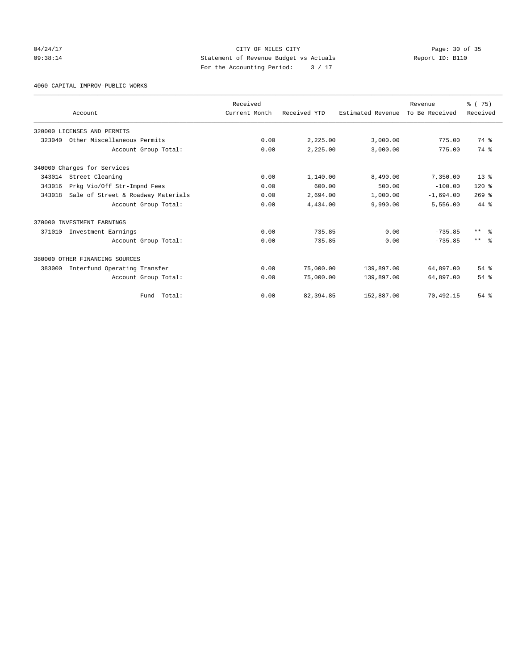04/24/17 Page: 30 of 35 09:38:14 Statement of Revenue Budget vs Actuals Report ID: B110 For the Accounting Period: 3 / 17

4060 CAPITAL IMPROV-PUBLIC WORKS

|        |                                    | Received      |              |                   | Revenue        | % (75)          |
|--------|------------------------------------|---------------|--------------|-------------------|----------------|-----------------|
|        | Account                            | Current Month | Received YTD | Estimated Revenue | To Be Received | Received        |
|        | 320000 LICENSES AND PERMITS        |               |              |                   |                |                 |
| 323040 | Other Miscellaneous Permits        | 0.00          | 2,225.00     | 3,000.00          | 775.00         | 74 %            |
|        | Account Group Total:               | 0.00          | 2,225.00     | 3,000.00          | 775.00         | 74 %            |
|        | 340000 Charges for Services        |               |              |                   |                |                 |
| 343014 | Street Cleaning                    | 0.00          | 1,140.00     | 8,490.00          | 7,350.00       | $13*$           |
| 343016 | Prkg Vio/Off Str-Impnd Fees        | 0.00          | 600.00       | 500.00            | $-100.00$      | $120*$          |
| 343018 | Sale of Street & Roadway Materials | 0.00          | 2,694.00     | 1,000.00          | $-1,694.00$    | $269$ $%$       |
|        | Account Group Total:               | 0.00          | 4,434.00     | 9,990.00          | 5,556.00       | 44 %            |
|        | 370000 INVESTMENT EARNINGS         |               |              |                   |                |                 |
| 371010 | Investment Earnings                | 0.00          | 735.85       | 0.00              | $-735.85$      | $***$ $=$       |
|        | Account Group Total:               | 0.00          | 735.85       | 0.00              | $-735.85$      | $***$ $\approx$ |
|        | 380000 OTHER FINANCING SOURCES     |               |              |                   |                |                 |
| 383000 | Interfund Operating Transfer       | 0.00          | 75,000.00    | 139,897.00        | 64,897.00      | 54%             |
|        | Account Group Total:               | 0.00          | 75,000.00    | 139,897.00        | 64,897.00      | 54 %            |
|        | Total:<br>Fund                     | 0.00          | 82, 394.85   | 152,887.00        | 70,492.15      | $54$ $%$        |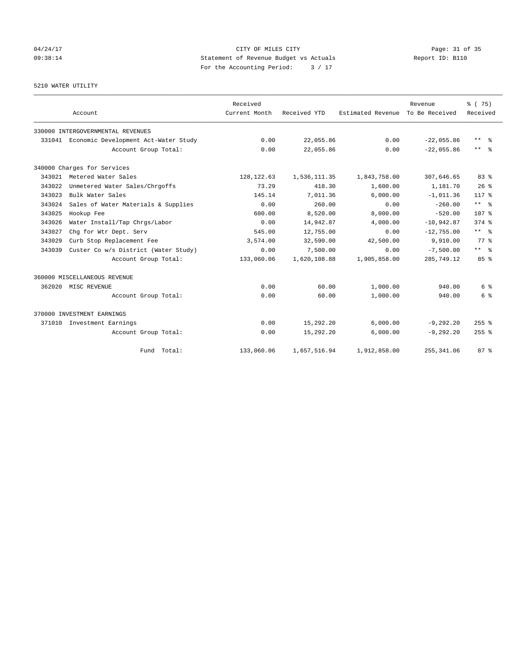# 04/24/17 Page: 31 of 35 09:38:14 Statement of Revenue Budget vs Actuals Report ID: B110 For the Accounting Period: 3 / 17

5210 WATER UTILITY

|        | Account                              | Received<br>Current Month | Received YTD | Estimated Revenue | Revenue<br>To Be Received | % (75)<br>Received  |
|--------|--------------------------------------|---------------------------|--------------|-------------------|---------------------------|---------------------|
|        | 330000 INTERGOVERNMENTAL REVENUES    |                           |              |                   |                           |                     |
| 331041 | Economic Development Act-Water Study | 0.00                      | 22,055.86    | 0.00              | $-22.055.86$              | $***$ $=$           |
|        | Account Group Total:                 | 0.00                      | 22,055.86    | 0.00              | $-22.055.86$              | $***$ $ -$          |
|        | 340000 Charges for Services          |                           |              |                   |                           |                     |
| 343021 | Metered Water Sales                  | 128, 122.63               | 1,536,111.35 | 1,843,758.00      | 307,646.65                | 83 <sup>8</sup>     |
| 343022 | Unmetered Water Sales/Chrgoffs       | 73.29                     | 418.30       | 1,600.00          | 1,181.70                  | 26 <sup>8</sup>     |
| 343023 | Bulk Water Sales                     | 145.14                    | 7,011.36     | 6,000.00          | $-1,011.36$               | $117*$              |
| 343024 | Sales of Water Materials & Supplies  | 0.00                      | 260.00       | 0.00              | $-260.00$                 | $***$ $ -$          |
| 343025 | Hookup Fee                           | 600.00                    | 8,520.00     | 8,000.00          | $-520.00$                 | 107 <sub>8</sub>    |
| 343026 | Water Install/Tap Chrgs/Labor        | 0.00                      | 14,942.87    | 4,000.00          | $-10,942.87$              | $374$ $%$           |
| 343027 | Chq for Wtr Dept. Serv               | 545.00                    | 12,755.00    | 0.00              | $-12,755.00$              | $***$ $ -$          |
| 343029 | Curb Stop Replacement Fee            | 3,574.00                  | 32,590.00    | 42,500.00         | 9,910.00                  | 77.8                |
| 343039 | Custer Co w/s District (Water Study) | 0.00                      | 7,500.00     | 0.00              | $-7.500.00$               | $***$ $\frac{6}{5}$ |
|        | Account Group Total:                 | 133,060.06                | 1,620,108.88 | 1,905,858.00      | 285,749.12                | 85%                 |
|        | 360000 MISCELLANEOUS REVENUE         |                           |              |                   |                           |                     |
|        | 362020 MISC REVENUE                  | 0.00                      | 60.00        | 1,000.00          | 940.00                    | 6 %                 |
|        | Account Group Total:                 | 0.00                      | 60.00        | 1,000.00          | 940.00                    | 6 %                 |
|        | 370000 INVESTMENT EARNINGS           |                           |              |                   |                           |                     |
| 371010 | Investment Earnings                  | 0.00                      | 15,292.20    | 6,000.00          | $-9, 292.20$              | $255$ $%$           |
|        | Account Group Total:                 | 0.00                      | 15,292.20    | 6,000.00          | $-9, 292.20$              | $255$ %             |
|        | Fund Total:                          | 133,060.06                | 1,657,516.94 | 1,912,858.00      | 255, 341.06               | 87%                 |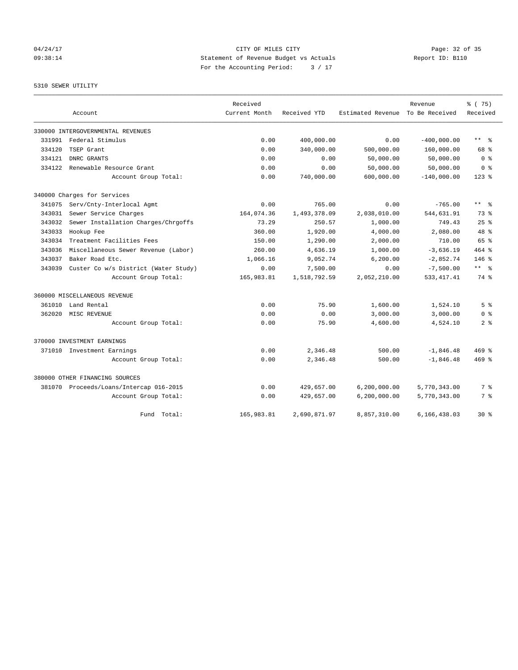# 04/24/17 Page: 32 of 35 09:38:14 Statement of Revenue Budget vs Actuals Report ID: B110 For the Accounting Period: 3 / 17

## 5310 SEWER UTILITY

|        |                                         | Received      |              |                   | Revenue        | % (75)                    |
|--------|-----------------------------------------|---------------|--------------|-------------------|----------------|---------------------------|
|        | Account                                 | Current Month | Received YTD | Estimated Revenue | To Be Received | Received                  |
|        | 330000 INTERGOVERNMENTAL REVENUES       |               |              |                   |                |                           |
|        | 331991 Federal Stimulus                 | 0.00          | 400,000.00   | 0.00              | $-400,000.00$  | $\star\star$<br>$\approx$ |
| 334120 | TSEP Grant                              | 0.00          | 340,000.00   | 500,000.00        | 160,000.00     | 68 %                      |
| 334121 | DNRC GRANTS                             | 0.00          | 0.00         | 50,000.00         | 50,000.00      | 0 <sup>8</sup>            |
| 334122 | Renewable Resource Grant                | 0.00          | 0.00         | 50,000.00         | 50,000.00      | 0 <sup>8</sup>            |
|        | Account Group Total:                    | 0.00          | 740,000.00   | 600,000.00        | $-140,000.00$  | $123$ %                   |
|        | 340000 Charges for Services             |               |              |                   |                |                           |
| 341075 | Serv/Cnty-Interlocal Agmt               | 0.00          | 765.00       | 0.00              | $-765.00$      | $***$ $ -$                |
| 343031 | Sewer Service Charges                   | 164,074.36    | 1,493,378.09 | 2,038,010.00      | 544,631.91     | 73.8                      |
| 343032 | Sewer Installation Charges/Chrgoffs     | 73.29         | 250.57       | 1,000.00          | 749.43         | $25$ $%$                  |
| 343033 | Hookup Fee                              | 360.00        | 1,920.00     | 4,000.00          | 2,080.00       | 48 %                      |
| 343034 | Treatment Facilities Fees               | 150.00        | 1,290.00     | 2,000.00          | 710.00         | 65 %                      |
| 343036 | Miscellaneous Sewer Revenue (Labor)     | 260.00        | 4,636.19     | 1,000.00          | $-3,636.19$    | 464 %                     |
| 343037 | Baker Road Etc.                         | 1,066.16      | 9,052.74     | 6, 200.00         | $-2,852.74$    | 146%                      |
| 343039 | Custer Co w/s District (Water Study)    | 0.00          | 7,500.00     | 0.00              | $-7,500.00$    | $***$ $ -$                |
|        | Account Group Total:                    | 165,983.81    | 1,518,792.59 | 2,052,210.00      | 533, 417.41    | 74 %                      |
|        | 360000 MISCELLANEOUS REVENUE            |               |              |                   |                |                           |
| 361010 | Land Rental                             | 0.00          | 75.90        | 1,600.00          | 1,524.10       | 5 <sup>8</sup>            |
| 362020 | MISC REVENUE                            | 0.00          | 0.00         | 3,000.00          | 3,000.00       | 0 <sup>8</sup>            |
|        | Account Group Total:                    | 0.00          | 75.90        | 4,600.00          | 4,524.10       | 2 <sup>8</sup>            |
|        | 370000 INVESTMENT EARNINGS              |               |              |                   |                |                           |
|        | 371010 Investment Earnings              | 0.00          | 2,346.48     | 500.00            | $-1,846.48$    | 469%                      |
|        | Account Group Total:                    | 0.00          | 2,346.48     | 500.00            | $-1,846.48$    | $469$ $%$                 |
|        | 380000 OTHER FINANCING SOURCES          |               |              |                   |                |                           |
|        | 381070 Proceeds/Loans/Intercap 016-2015 | 0.00          | 429,657.00   | 6, 200, 000.00    | 5,770,343.00   | 7 %                       |
|        | Account Group Total:                    | 0.00          | 429,657.00   | 6, 200, 000.00    | 5,770,343.00   | 7 %                       |
|        | Total:<br>Fund                          | 165,983.81    | 2,690,871.97 | 8,857,310.00      | 6,166,438.03   | $30*$                     |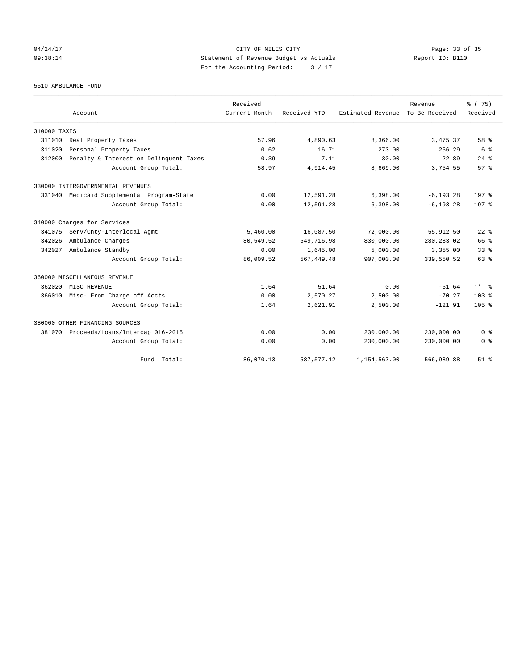## 04/24/17 Page: 33 of 35 09:38:14 Statement of Revenue Budget vs Actuals Report ID: B110 For the Accounting Period: 3 / 17

5510 AMBULANCE FUND

|              | Account                                                        | Received<br>Current Month | Received YTD | Estimated Revenue | Revenue<br>To Be Received | % (75)<br>Received |
|--------------|----------------------------------------------------------------|---------------------------|--------------|-------------------|---------------------------|--------------------|
| 310000 TAXES |                                                                |                           |              |                   |                           |                    |
| 311010       | Real Property Taxes                                            | 57.96                     | 4,890.63     | 8,366.00          | 3,475.37                  | 58 %               |
| 311020       | Personal Property Taxes                                        | 0.62                      | 16.71        | 273.00            | 256.29                    | 6 %                |
|              |                                                                | 0.39                      | 7.11         | 30.00             | 22.89                     | $24$ $%$           |
| 312000       | Penalty & Interest on Delinquent Taxes<br>Account Group Total: | 58.97                     | 4.914.45     | 8,669.00          | 3,754.55                  | 57%                |
|              | 330000 INTERGOVERNMENTAL REVENUES                              |                           |              |                   |                           |                    |
| 331040       | Medicaid Supplemental Program-State                            | 0.00                      | 12,591.28    | 6,398.00          | $-6, 193.28$              | 197 <sub>8</sub>   |
|              | Account Group Total:                                           | 0.00                      | 12,591.28    | 6,398.00          | $-6.193.28$               | 197 <sub>8</sub>   |
|              | 340000 Charges for Services                                    |                           |              |                   |                           |                    |
| 341075       | Serv/Cnty-Interlocal Agmt                                      | 5,460.00                  | 16,087.50    | 72,000.00         | 55,912.50                 | $22$ %             |
| 342026       | Ambulance Charges                                              | 80,549.52                 | 549,716.98   | 830,000.00        | 280, 283.02               | 66 %               |
| 342027       | Ambulance Standby                                              | 0.00                      | 1,645.00     | 5,000.00          | 3,355.00                  | 33 <sup>8</sup>    |
|              | Account Group Total:                                           | 86,009.52                 | 567, 449.48  | 907,000.00        | 339,550.52                | 63 %               |
|              | 360000 MISCELLANEOUS REVENUE                                   |                           |              |                   |                           |                    |
| 362020       | MISC REVENUE                                                   | 1.64                      | 51.64        | 0.00              | $-51.64$                  | $***$ $ -$         |
| 366010       | Misc- From Charge off Accts                                    | 0.00                      | 2,570.27     | 2,500.00          | $-70.27$                  | 103 <sub>8</sub>   |
|              | Account Group Total:                                           | 1.64                      | 2,621.91     | 2,500.00          | $-121.91$                 | 105%               |
|              | 380000 OTHER FINANCING SOURCES                                 |                           |              |                   |                           |                    |
| 381070       | Proceeds/Loans/Intercap 016-2015                               | 0.00                      | 0.00         | 230,000.00        | 230,000.00                | 0 <sup>8</sup>     |
|              | Account Group Total:                                           | 0.00                      | 0.00         | 230,000.00        | 230,000.00                | 0 <sup>8</sup>     |
|              | Fund Total:                                                    | 86,070.13                 | 587, 577.12  | 1,154,567.00      | 566,989.88                | $51$ $%$           |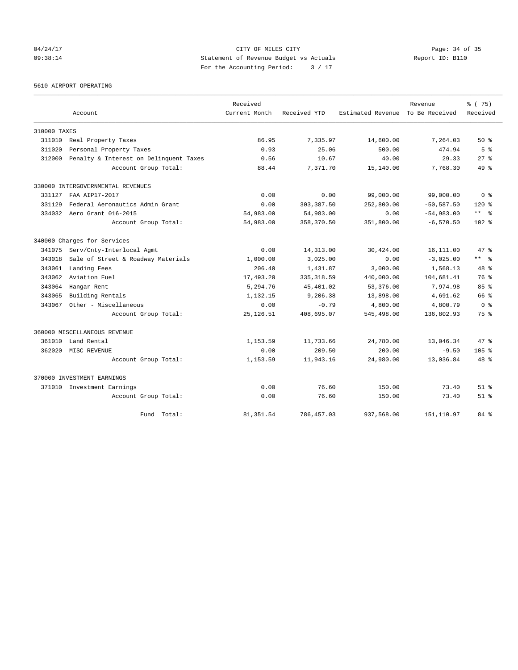# 04/24/17 Page: 34 of 35 09:38:14 Statement of Revenue Budget vs Actuals Report ID: B110 For the Accounting Period: 3 / 17

5610 AIRPORT OPERATING

|              |                                        | Received      |              |                   | Revenue        | % (75)           |
|--------------|----------------------------------------|---------------|--------------|-------------------|----------------|------------------|
|              | Account                                | Current Month | Received YTD | Estimated Revenue | To Be Received | Received         |
| 310000 TAXES |                                        |               |              |                   |                |                  |
| 311010       | Real Property Taxes                    | 86.95         | 7,335.97     | 14,600.00         | 7,264.03       | 50%              |
| 311020       | Personal Property Taxes                | 0.93          | 25.06        | 500.00            | 474.94         | 5 <sup>8</sup>   |
| 312000       | Penalty & Interest on Delinquent Taxes | 0.56          | 10.67        | 40.00             | 29.33          | $27$ $%$         |
|              | Account Group Total:                   | 88.44         | 7,371.70     | 15,140.00         | 7,768.30       | $49*$            |
|              | 330000 INTERGOVERNMENTAL REVENUES      |               |              |                   |                |                  |
| 331127       | FAA AIP17-2017                         | 0.00          | 0.00         | 99,000.00         | 99,000.00      | 0 <sup>8</sup>   |
| 331129       | Federal Aeronautics Admin Grant        | 0.00          | 303,387.50   | 252,800.00        | $-50, 587.50$  | $120*$           |
| 334032       | Aero Grant 016-2015                    | 54,983.00     | 54,983.00    | 0.00              | $-54,983.00$   | ** %             |
|              | Account Group Total:                   | 54,983.00     | 358,370.50   | 351,800.00        | $-6, 570.50$   | $102*$           |
|              | 340000 Charges for Services            |               |              |                   |                |                  |
| 341075       | Serv/Cnty-Interlocal Agmt              | 0.00          | 14, 313.00   | 30,424.00         | 16,111.00      | 47 %             |
| 343018       | Sale of Street & Roadway Materials     | 1,000.00      | 3,025.00     | 0.00              | $-3,025.00$    | $***$ $=$        |
| 343061       | Landing Fees                           | 206.40        | 1,431.87     | 3,000.00          | 1,568.13       | 48 %             |
| 343062       | Aviation Fuel                          | 17,493.20     | 335, 318.59  | 440,000.00        | 104,681.41     | 76 %             |
| 343064       | Hangar Rent                            | 5,294.76      | 45, 401.02   | 53,376.00         | 7,974.98       | 85%              |
| 343065       | Building Rentals                       | 1,132.15      | 9,206.38     | 13,898.00         | 4,691.62       | 66 %             |
| 343067       | Other - Miscellaneous                  | 0.00          | $-0.79$      | 4,800.00          | 4,800.79       | 0 <sup>8</sup>   |
|              | Account Group Total:                   | 25, 126.51    | 408,695.07   | 545,498.00        | 136,802.93     | 75 %             |
|              | 360000 MISCELLANEOUS REVENUE           |               |              |                   |                |                  |
| 361010       | Land Rental                            | 1, 153.59     | 11,733.66    | 24,780.00         | 13,046.34      | 47 %             |
| 362020       | MISC REVENUE                           | 0.00          | 209.50       | 200.00            | $-9.50$        | 105 <sub>8</sub> |
|              | Account Group Total:                   | 1,153.59      | 11,943.16    | 24,980.00         | 13,036.84      | 48 %             |
|              | 370000 INVESTMENT EARNINGS             |               |              |                   |                |                  |
|              | 371010 Investment Earnings             | 0.00          | 76.60        | 150.00            | 73.40          | $51$ $%$         |
|              | Account Group Total:                   | 0.00          | 76.60        | 150.00            | 73.40          | $51$ $%$         |
|              | Total:<br>Fund                         | 81, 351.54    | 786, 457.03  | 937,568.00        | 151,110.97     | 84 %             |